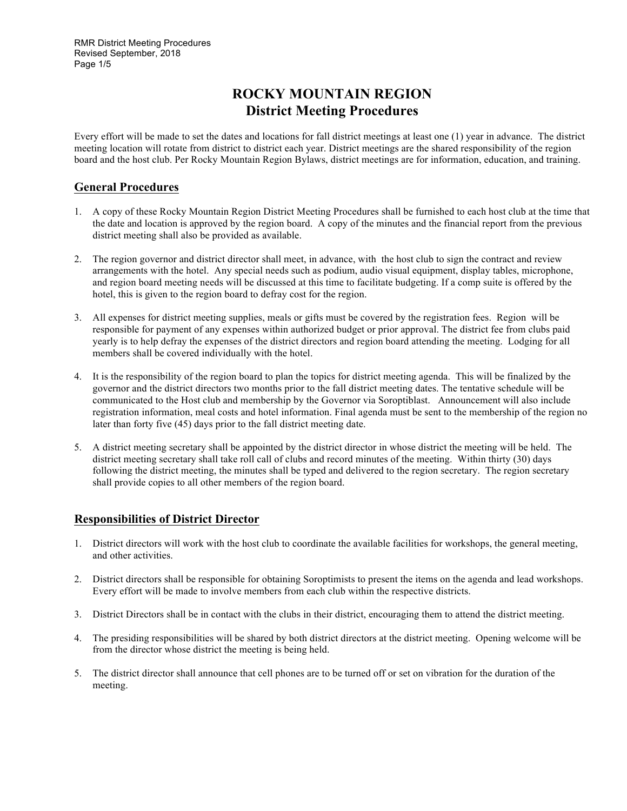## **ROCKY MOUNTAIN REGION District Meeting Procedures**

Every effort will be made to set the dates and locations for fall district meetings at least one (1) year in advance. The district meeting location will rotate from district to district each year. District meetings are the shared responsibility of the region board and the host club. Per Rocky Mountain Region Bylaws, district meetings are for information, education, and training.

### **General Procedures**

- 1. A copy of these Rocky Mountain Region District Meeting Procedures shall be furnished to each host club at the time that the date and location is approved by the region board. A copy of the minutes and the financial report from the previous district meeting shall also be provided as available.
- 2. The region governor and district director shall meet, in advance, with the host club to sign the contract and review arrangements with the hotel. Any special needs such as podium, audio visual equipment, display tables, microphone, and region board meeting needs will be discussed at this time to facilitate budgeting. If a comp suite is offered by the hotel, this is given to the region board to defray cost for the region.
- 3. All expenses for district meeting supplies, meals or gifts must be covered by the registration fees. Region will be responsible for payment of any expenses within authorized budget or prior approval. The district fee from clubs paid yearly is to help defray the expenses of the district directors and region board attending the meeting. Lodging for all members shall be covered individually with the hotel.
- 4. It is the responsibility of the region board to plan the topics for district meeting agenda. This will be finalized by the governor and the district directors two months prior to the fall district meeting dates. The tentative schedule will be communicated to the Host club and membership by the Governor via Soroptiblast. Announcement will also include registration information, meal costs and hotel information. Final agenda must be sent to the membership of the region no later than forty five (45) days prior to the fall district meeting date.
- 5. A district meeting secretary shall be appointed by the district director in whose district the meeting will be held. The district meeting secretary shall take roll call of clubs and record minutes of the meeting. Within thirty (30) days following the district meeting, the minutes shall be typed and delivered to the region secretary. The region secretary shall provide copies to all other members of the region board.

## **Responsibilities of District Director**

- 1. District directors will work with the host club to coordinate the available facilities for workshops, the general meeting, and other activities.
- 2. District directors shall be responsible for obtaining Soroptimists to present the items on the agenda and lead workshops. Every effort will be made to involve members from each club within the respective districts.
- 3. District Directors shall be in contact with the clubs in their district, encouraging them to attend the district meeting.
- 4. The presiding responsibilities will be shared by both district directors at the district meeting. Opening welcome will be from the director whose district the meeting is being held.
- 5. The district director shall announce that cell phones are to be turned off or set on vibration for the duration of the meeting.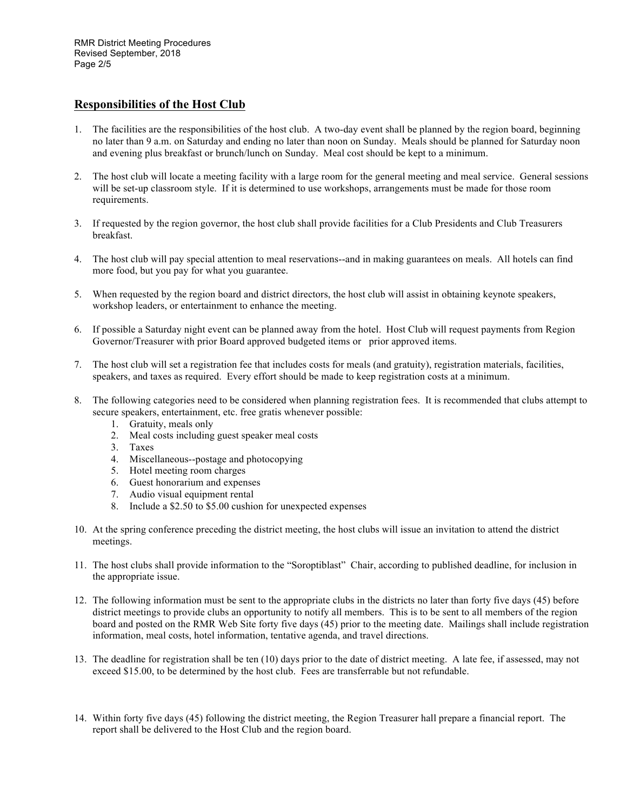### **Responsibilities of the Host Club**

- 1. The facilities are the responsibilities of the host club. A two-day event shall be planned by the region board, beginning no later than 9 a.m. on Saturday and ending no later than noon on Sunday. Meals should be planned for Saturday noon and evening plus breakfast or brunch/lunch on Sunday. Meal cost should be kept to a minimum.
- 2. The host club will locate a meeting facility with a large room for the general meeting and meal service. General sessions will be set-up classroom style. If it is determined to use workshops, arrangements must be made for those room requirements.
- 3. If requested by the region governor, the host club shall provide facilities for a Club Presidents and Club Treasurers breakfast.
- 4. The host club will pay special attention to meal reservations--and in making guarantees on meals. All hotels can find more food, but you pay for what you guarantee.
- 5. When requested by the region board and district directors, the host club will assist in obtaining keynote speakers, workshop leaders, or entertainment to enhance the meeting.
- 6. If possible a Saturday night event can be planned away from the hotel. Host Club will request payments from Region Governor/Treasurer with prior Board approved budgeted items or prior approved items.
- 7. The host club will set a registration fee that includes costs for meals (and gratuity), registration materials, facilities, speakers, and taxes as required. Every effort should be made to keep registration costs at a minimum.
- 8. The following categories need to be considered when planning registration fees. It is recommended that clubs attempt to secure speakers, entertainment, etc. free gratis whenever possible:
	- 1. Gratuity, meals only
	- 2. Meal costs including guest speaker meal costs
	- 3. Taxes
	- 4. Miscellaneous--postage and photocopying
	- 5. Hotel meeting room charges
	- 6. Guest honorarium and expenses
	- 7. Audio visual equipment rental
	- 8. Include a \$2.50 to \$5.00 cushion for unexpected expenses
- 10. At the spring conference preceding the district meeting, the host clubs will issue an invitation to attend the district meetings.
- 11. The host clubs shall provide information to the "Soroptiblast" Chair, according to published deadline, for inclusion in the appropriate issue.
- 12. The following information must be sent to the appropriate clubs in the districts no later than forty five days (45) before district meetings to provide clubs an opportunity to notify all members. This is to be sent to all members of the region board and posted on the RMR Web Site forty five days (45) prior to the meeting date. Mailings shall include registration information, meal costs, hotel information, tentative agenda, and travel directions.
- 13. The deadline for registration shall be ten (10) days prior to the date of district meeting. A late fee, if assessed, may not exceed \$15.00, to be determined by the host club. Fees are transferrable but not refundable.
- 14. Within forty five days (45) following the district meeting, the Region Treasurer hall prepare a financial report. The report shall be delivered to the Host Club and the region board.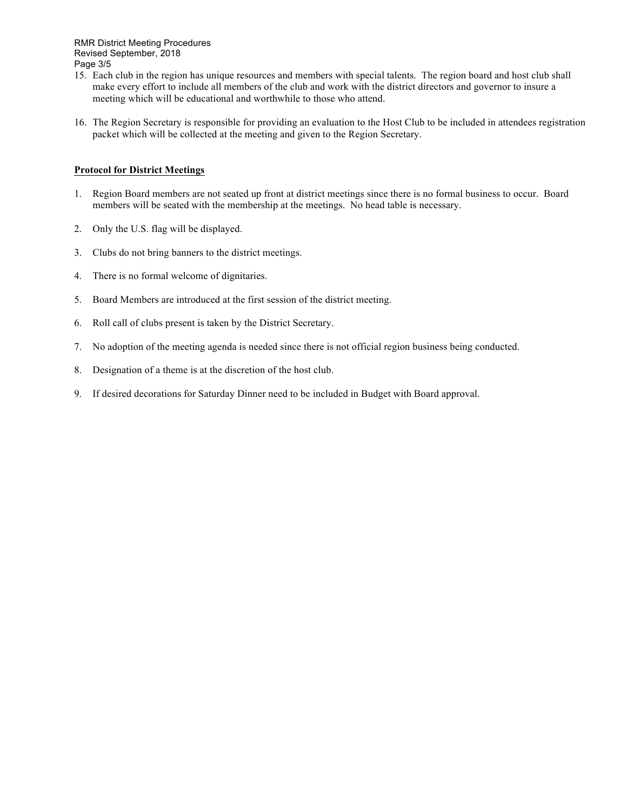RMR District Meeting Procedures Revised September, 2018 Page 3/5

- 15. Each club in the region has unique resources and members with special talents. The region board and host club shall make every effort to include all members of the club and work with the district directors and governor to insure a meeting which will be educational and worthwhile to those who attend.
- 16. The Region Secretary is responsible for providing an evaluation to the Host Club to be included in attendees registration packet which will be collected at the meeting and given to the Region Secretary.

#### **Protocol for District Meetings**

- 1. Region Board members are not seated up front at district meetings since there is no formal business to occur. Board members will be seated with the membership at the meetings. No head table is necessary.
- 2. Only the U.S. flag will be displayed.
- 3. Clubs do not bring banners to the district meetings.
- 4. There is no formal welcome of dignitaries.
- 5. Board Members are introduced at the first session of the district meeting.
- 6. Roll call of clubs present is taken by the District Secretary.
- 7. No adoption of the meeting agenda is needed since there is not official region business being conducted.
- 8. Designation of a theme is at the discretion of the host club.
- 9. If desired decorations for Saturday Dinner need to be included in Budget with Board approval.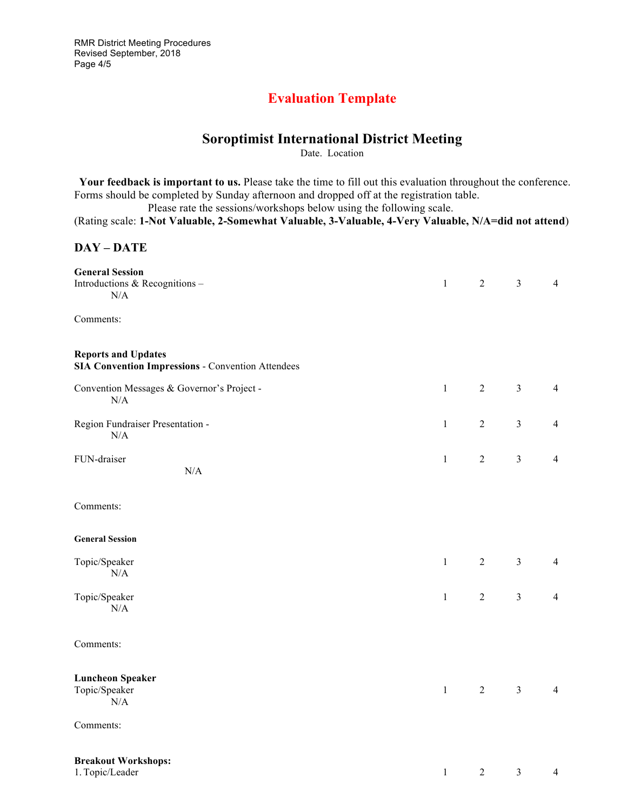RMR District Meeting Procedures Revised September, 2018 Page 4/5

## **Evaluation Template**

# **Soroptimist International District Meeting**

Date. Location

 **Your feedback is important to us.** Please take the time to fill out this evaluation throughout the conference. Forms should be completed by Sunday afternoon and dropped off at the registration table.

Please rate the sessions/workshops below using the following scale.

(Rating scale: **1-Not Valuable, 2-Somewhat Valuable, 3-Valuable, 4-Very Valuable, N/A=did not attend**)

### **DAY – DATE**

| <b>General Session</b><br>Introductions & Recognitions-<br>N/A                         | $\mathbf{1}$ | $\overline{2}$ | $\overline{3}$ | $\overline{4}$ |
|----------------------------------------------------------------------------------------|--------------|----------------|----------------|----------------|
| Comments:                                                                              |              |                |                |                |
| <b>Reports and Updates</b><br><b>SIA Convention Impressions - Convention Attendees</b> |              |                |                |                |
| Convention Messages & Governor's Project -<br>N/A                                      | $\mathbf{1}$ | $\overline{2}$ | $\overline{3}$ | $\overline{4}$ |
| Region Fundraiser Presentation -<br>N/A                                                | $\mathbf{1}$ | $\overline{2}$ | $\overline{3}$ | $\overline{4}$ |
| FUN-draiser<br>N/A                                                                     | $\mathbf{1}$ | $\sqrt{2}$     | $\mathfrak{Z}$ | $\overline{4}$ |
| Comments:                                                                              |              |                |                |                |
| <b>General Session</b>                                                                 |              |                |                |                |
| Topic/Speaker<br>$\rm N/A$                                                             | $\mathbf{1}$ | $\overline{2}$ | $\overline{3}$ | $\overline{4}$ |
| Topic/Speaker<br>N/A                                                                   | $\mathbf{1}$ | $\overline{2}$ | $\overline{3}$ | $\overline{4}$ |
| Comments:                                                                              |              |                |                |                |
| <b>Luncheon Speaker</b><br>Topic/Speaker<br>N/A                                        | $\mathbf{1}$ | $\overline{2}$ | $\mathfrak{Z}$ | $\overline{4}$ |
| Comments:                                                                              |              |                |                |                |
| <b>Breakout Workshops:</b><br>1. Topic/Leader                                          | $\mathbf{1}$ | $\overline{2}$ | $\mathfrak{Z}$ | 4              |